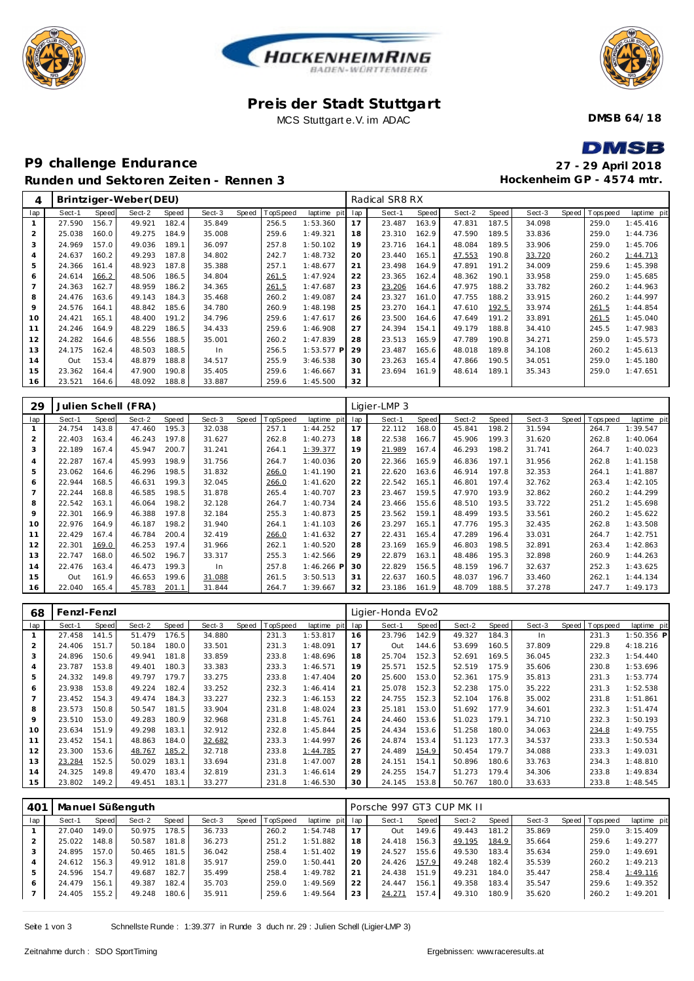





## **Pre is der Stadt Stuttgart** MCS Stuttgart e.V. im ADAC

**DMSB 64/18**

 $\blacksquare$ 

## **P9 challenge Endurance Runden und Sektoren Zeiten - Rennen 3**

| DMSB                      |
|---------------------------|
| 27 - 29 April 2018        |
| Hockenheim GP - 4574 mtr. |

| 4              |        |       | Brintziger-Weber(DEU) |       |        |              |          |                |     | Radical SR8 RX |       |        |       |        |       |           |             |
|----------------|--------|-------|-----------------------|-------|--------|--------------|----------|----------------|-----|----------------|-------|--------|-------|--------|-------|-----------|-------------|
| lap            | Sect-1 | Speed | Sect-2                | Speed | Sect-3 | <b>Speed</b> | TopSpeed | laptime<br>pit | lap | Sect-1         | Speed | Sect-2 | Speed | Sect-3 | Speed | Tops peed | laptime pit |
|                | 27.590 | 156.7 | 49.921                | 182.4 | 35.849 |              | 256.5    | 1:53.360       | 17  | 23.487         | 163.9 | 47.831 | 187.5 | 34.098 |       | 259.0     | 1:45.416    |
| 2              | 25.038 | 160.0 | 49.275                | 184.9 | 35.008 |              | 259.6    | 1:49.321       | 18  | 23.310         | 162.9 | 47.590 | 189.5 | 33.836 |       | 259.0     | 1:44.736    |
| 3              | 24.969 | 157.0 | 49.036                | 189.1 | 36.097 |              | 257.8    | 1:50.102       | 19  | 23.716         | 164.1 | 48.084 | 189.5 | 33.906 |       | 259.0     | 1:45.706    |
| $\overline{A}$ | 24.637 | 160.2 | 49.293                | 187.8 | 34.802 |              | 242.7    | 1:48.732       | 20  | 23.440         | 165.1 | 47.553 | 190.8 | 33.720 |       | 260.2     | 1:44.713    |
| 5              | 24.366 | 161.4 | 48.923                | 187.8 | 35.388 |              | 257.1    | 1:48.677       | 21  | 23.498         | 164.9 | 47.891 | 191.2 | 34.009 |       | 259.6     | 1:45.398    |
| 6              | 24.614 | 166.2 | 48.506                | 186.5 | 34.804 |              | 261.5    | 1:47.924       | 22  | 23.365         | 162.4 | 48.362 | 190.1 | 33.958 |       | 259.0     | 1:45.685    |
|                | 24.363 | 162.7 | 48.959                | 186.2 | 34.365 |              | 261.5    | 1:47.687       | 23  | 23.206         | 164.6 | 47.975 | 188.2 | 33.782 |       | 260.2     | 1:44.963    |
| 8              | 24.476 | 163.6 | 49.143                | 184.3 | 35.468 |              | 260.2    | 1:49.087       | 24  | 23.327         | 161.0 | 47.755 | 188.2 | 33.915 |       | 260.2     | 1:44.997    |
| 9              | 24.576 | 164.1 | 48.842                | 185.6 | 34.780 |              | 260.9    | 1:48.198       | 25  | 23.270         | 164.1 | 47.610 | 192.5 | 33.974 |       | 261.5     | 1:44.854    |
| 10             | 24.421 | 165.1 | 48.400                | 191.2 | 34.796 |              | 259.6    | 1:47.617       | 26  | 23.500         | 164.6 | 47.649 | 191.2 | 33.891 |       | 261.5     | 1:45.040    |
| 11             | 24.246 | 164.9 | 48.229                | 186.5 | 34.433 |              | 259.6    | 1:46.908       | 27  | 24.394         | 154.1 | 49.179 | 188.8 | 34.410 |       | 245.5     | 1:47.983    |
| 12             | 24.282 | 164.6 | 48.556                | 188.5 | 35.001 |              | 260.2    | 1:47.839       | 28  | 23.513         | 165.9 | 47.789 | 190.8 | 34.271 |       | 259.0     | 1:45.573    |
| 13             | 24.175 | 162.4 | 48.503                | 188.5 | In     |              | 256.5    | $1:53.577$ P   | 29  | 23.487         | 165.6 | 48.018 | 189.8 | 34.108 |       | 260.2     | 1:45.613    |
| 14             | Out    | 153.4 | 48.879                | 188.8 | 34.517 |              | 255.9    | 3:46.538       | 30  | 23.263         | 165.4 | 47.866 | 190.5 | 34.051 |       | 259.0     | 1:45.180    |
| 15             | 23.362 | 164.4 | 47.900                | 190.8 | 35.405 |              | 259.6    | 1:46.667       | 31  | 23.694         | 161.9 | 48.614 | 189.1 | 35.343 |       | 259.0     | 1:47.651    |
| 16             | 23.521 | 164.6 | 48.092                | 188.8 | 33.887 |              | 259.6    | 1:45.500       | 32  |                |       |        |       |        |       |           |             |

| 29             |        |       | Julien Schell (FRA) |       |        |       |                 |              |     | Ligier-LMP 3 |       |        |       |        |       |          |             |
|----------------|--------|-------|---------------------|-------|--------|-------|-----------------|--------------|-----|--------------|-------|--------|-------|--------|-------|----------|-------------|
| lap            | Sect-1 | Speed | Sect-2              | Speed | Sect-3 | Speed | <b>TopSpeed</b> | laptime pit  | lap | Sect-1       | Speed | Sect-2 | Speed | Sect-3 | Speed | Topspeed | laptime pit |
|                | 24.754 | 143.8 | 47.460              | 195.3 | 32.038 |       | 257.1           | 1:44.252     | 17  | 22.112       | 168.0 | 45.841 | 198.2 | 31.594 |       | 264.7    | 1:39.547    |
| 2              | 22.403 | 163.4 | 46.243              | 197.8 | 31.627 |       | 262.8           | 1:40.273     | 18  | 22.538       | 166.7 | 45.906 | 199.3 | 31.620 |       | 262.8    | 1:40.064    |
| 3              | 22.189 | 167.4 | 45.947              | 200.7 | 31.241 |       | 264.1           | 1:39.377     | 19  | 21.989       | 167.4 | 46.293 | 198.2 | 31.741 |       | 264.7    | 1:40.023    |
| $\overline{4}$ | 22.287 | 167.4 | 45.993              | 198.9 | 31.756 |       | 264.7           | 1:40.036     | 20  | 22.366       | 165.9 | 46.836 | 197.1 | 31.956 |       | 262.8    | 1:41.158    |
| 5              | 23.062 | 164.6 | 46.296              | 198.5 | 31.832 |       | 266.0           | 1:41.190     | 21  | 22.620       | 163.6 | 46.914 | 197.8 | 32.353 |       | 264.1    | 1:41.887    |
| 6              | 22.944 | 168.5 | 46.631              | 199.3 | 32.045 |       | 266.0           | 1:41.620     | 22  | 22.542       | 165.1 | 46.801 | 197.4 | 32.762 |       | 263.4    | 1:42.105    |
|                | 22.244 | 168.8 | 46.585              | 198.5 | 31.878 |       | 265.4           | 1:40.707     | 23  | 23.467       | 159.5 | 47.970 | 193.9 | 32.862 |       | 260.2    | 1:44.299    |
| 8              | 22.542 | 163.1 | 46.064              | 198.2 | 32.128 |       | 264.7           | 1:40.734     | 24  | 23.466       | 155.6 | 48.510 | 193.5 | 33.722 |       | 251.2    | 1:45.698    |
| 9              | 22.301 | 166.9 | 46.388              | 197.8 | 32.184 |       | 255.3           | 1:40.873     | 25  | 23.562       | 159.1 | 48.499 | 193.5 | 33.561 |       | 260.2    | 1:45.622    |
| 10             | 22.976 | 164.9 | 46.187              | 198.2 | 31.940 |       | 264.1           | 1:41.103     | 26  | 23.297       | 165.1 | 47.776 | 195.3 | 32.435 |       | 262.8    | 1:43.508    |
| 11             | 22.429 | 167.4 | 46.784              | 200.4 | 32.419 |       | <u>266.0</u>    | 1:41.632     | 27  | 22.431       | 165.4 | 47.289 | 196.4 | 33.031 |       | 264.7    | 1:42.751    |
| 12             | 22.301 | 169.0 | 46.253              | 197.4 | 31.966 |       | 262.1           | 1:40.520     | 28  | 23.169       | 165.9 | 46.803 | 198.5 | 32.891 |       | 263.4    | 1:42.863    |
| 13             | 22.747 | 168.0 | 46.502              | 196.7 | 33.317 |       | 255.3           | 1:42.566     | 29  | 22.879       | 163.1 | 48.486 | 195.3 | 32.898 |       | 260.9    | 1:44.263    |
| 14             | 22.476 | 163.4 | 46.473              | 199.3 | In     |       | 257.8           | $1:46.266$ F | 30  | 22.829       | 156.5 | 48.159 | 196.7 | 32.637 |       | 252.3    | 1:43.625    |
| 15             | Out    | 161.9 | 46.653              | 199.6 | 31.088 |       | 261.5           | 3:50.513     | 31  | 22.637       | 160.5 | 48.037 | 196.7 | 33.460 |       | 262.1    | 1:44.134    |
| 16             | 22.040 | 165.4 | 45.783              | 201.1 | 31.844 |       | 264.7           | 1:39.667     | 32  | 23.186       | 161.9 | 48.709 | 188.5 | 37.278 |       | 247.7    | 1:49.173    |

| 68  | Fenzl-Fenzl |       |        |       |        |       |          |             |     | Ligier-Honda EVo2 |       |        |       |        |       |          |              |
|-----|-------------|-------|--------|-------|--------|-------|----------|-------------|-----|-------------------|-------|--------|-------|--------|-------|----------|--------------|
| lap | Sect-1      | Speed | Sect-2 | Speed | Sect-3 | Speed | TopSpeed | laptime pit | lap | Sect-1            | Speed | Sect-2 | Speed | Sect-3 | Speed | Topspeed | laptime pit  |
|     | 27.458      | 141.5 | 51.479 | 176.5 | 34.880 |       | 231.3    | 1:53.817    | 16  | 23.796            | 142.9 | 49.327 | 184.3 | In     |       | 231.3    | $1:50.356$ P |
| 2   | 24.406      | 151.7 | 50.184 | 180.0 | 33.501 |       | 231.3    | 1:48.091    | 17  | Out               | 144.6 | 53.699 | 160.5 | 37.809 |       | 229.8    | 4:18.216     |
| 3   | 24.896      | 150.6 | 49.941 | 181.8 | 33.859 |       | 233.8    | 1:48.696    | 18  | 25.704            | 152.3 | 52.691 | 169.5 | 36.045 |       | 232.3    | 1:54.440     |
| 4   | 23.787      | 153.8 | 49.401 | 180.3 | 33.383 |       | 233.3    | 1:46.571    | 19  | 25.571            | 152.5 | 52.519 | 175.9 | 35.606 |       | 230.8    | 1:53.696     |
| 5   | 24.332      | 149.8 | 49.797 | 179.7 | 33.275 |       | 233.8    | 1:47.404    | 20  | 25.600            | 153.0 | 52.361 | 175.9 | 35.813 |       | 231.3    | 1:53.774     |
| 6   | 23.938      | 153.8 | 49.224 | 182.4 | 33.252 |       | 232.3    | 1:46.414    | 21  | 25.078            | 152.3 | 52.238 | 175.0 | 35.222 |       | 231.3    | 1:52.538     |
| 7   | 23.452      | 154.3 | 49.474 | 184.3 | 33.227 |       | 232.3    | 1:46.153    | 22  | 24.755            | 152.3 | 52.104 | 176.8 | 35.002 |       | 231.8    | 1:51.861     |
| 8   | 23.573      | 150.8 | 50.547 | 181.5 | 33.904 |       | 231.8    | 1:48.024    | 23  | 25.181            | 153.0 | 51.692 | 177.9 | 34.601 |       | 232.3    | 1:51.474     |
| 9   | 23.510      | 153.0 | 49.283 | 180.9 | 32.968 |       | 231.8    | 1:45.761    | 24  | 24.460            | 153.6 | 51.023 | 179.1 | 34.710 |       | 232.3    | 1:50.193     |
| 10  | 23.634      | 151.9 | 49.298 | 183.1 | 32.912 |       | 232.8    | 1:45.844    | 25  | 24.434            | 153.6 | 51.258 | 180.0 | 34.063 |       | 234.8    | 1:49.755     |
| 11  | 23.452      | 154.1 | 48.863 | 184.0 | 32.682 |       | 233.3    | 1:44.997    | 26  | 24.874            | 153.4 | 51.123 | 177.3 | 34.537 |       | 233.3    | 1:50.534     |
| 12  | 23.300      | 153.6 | 48.767 | 185.2 | 32.718 |       | 233.8    | 1:44.785    | 27  | 24.489            | 154.9 | 50.454 | 179.7 | 34.088 |       | 233.3    | 1:49.031     |
| 13  | 23.284      | 152.5 | 50.029 | 183.1 | 33.694 |       | 231.8    | 1:47.007    | 28  | 24.151            | 154.1 | 50.896 | 180.6 | 33.763 |       | 234.3    | 1:48.810     |
| 14  | 24.325      | 149.8 | 49.470 | 183.4 | 32.819 |       | 231.3    | 1:46.614    | 29  | 24.255            | 154.7 | 51.273 | 179.4 | 34.306 |       | 233.8    | 1:49.834     |
| 15  | 23.802      | 149.2 | 49.451 | 183.1 | 33.277 |       | 231.8    | 1:46.530    | 30  | 24.145            | 153.8 | 50.767 | 180.0 | 33.633 |       | 233.8    | 1:48.545     |

| 40 <sup>-</sup> |        |                    | Manuel Süßenguth |       |        |                |                 |    | Porsche 997 GT3 CUP MK II |       |        |       |        |       |            |             |
|-----------------|--------|--------------------|------------------|-------|--------|----------------|-----------------|----|---------------------------|-------|--------|-------|--------|-------|------------|-------------|
| lap             | Sect-1 | Speed              | Sect-2           | Speed | Sect-3 | Speed TopSpeed | laptime pit lap |    | Sect-1                    | Speed | Sect-2 | Speed | Sect-3 | Speed | T ops peed | laptime pit |
|                 | 27.040 | 149.0              | 50.975           | 178.5 | 36.733 | 260.2          | 1:54.748        | 17 | Out                       | 149.6 | 49.443 | 181.2 | 35.869 |       | 259.0      | 3:15.409    |
|                 | 25.022 | 148.8 <sub>1</sub> | 50.587           | 181.8 | 36.273 | 251.2          | 1:51.882        | 18 | 24.418                    | 156.3 | 49.195 | 184.9 | 35.664 |       | 259.6      | 1:49.277    |
|                 | 24.895 | 157.0              | 50.465           | 181.5 | 36.042 | 258.4          | 1:51.402        | 19 | 24.527                    | 155.6 | 49.530 | 183.4 | 35.634 |       | 259.0      | 1:49.691    |
|                 | 24.612 | 156.3              | 49.912           | 181.8 | 35.917 | 259.0          | 1:50.441        | 20 | 24.426                    | 157.9 | 49.248 | 182.4 | 35.539 |       | 260.2      | 1:49.213    |
| 5               | 24.596 | 154.7              | 49.687           | 182.7 | 35.499 | 258.4          | 1:49.782        | 21 | 24.438                    | 151.9 | 49.231 | 184.0 | 35.447 |       | 258.4      | 1:49.116    |
| 6               | 24.479 | 156.1              | 49.387           | 182.4 | 35.703 | 259.0          | 1:49.569        | 22 | 24.447                    | 156.1 | 49.358 | 183.4 | 35.547 |       | 259.6      | 1:49.352    |
|                 | 24.405 | 155.2              | 49.248           | 180.6 | 35.911 | 259.6          | 1:49.564        | 23 | 24.271                    | 157.4 | 49.310 | 180.9 | 35.620 |       | 260.2      | 1:49.201    |
|                 |        |                    |                  |       |        |                |                 |    |                           |       |        |       |        |       |            |             |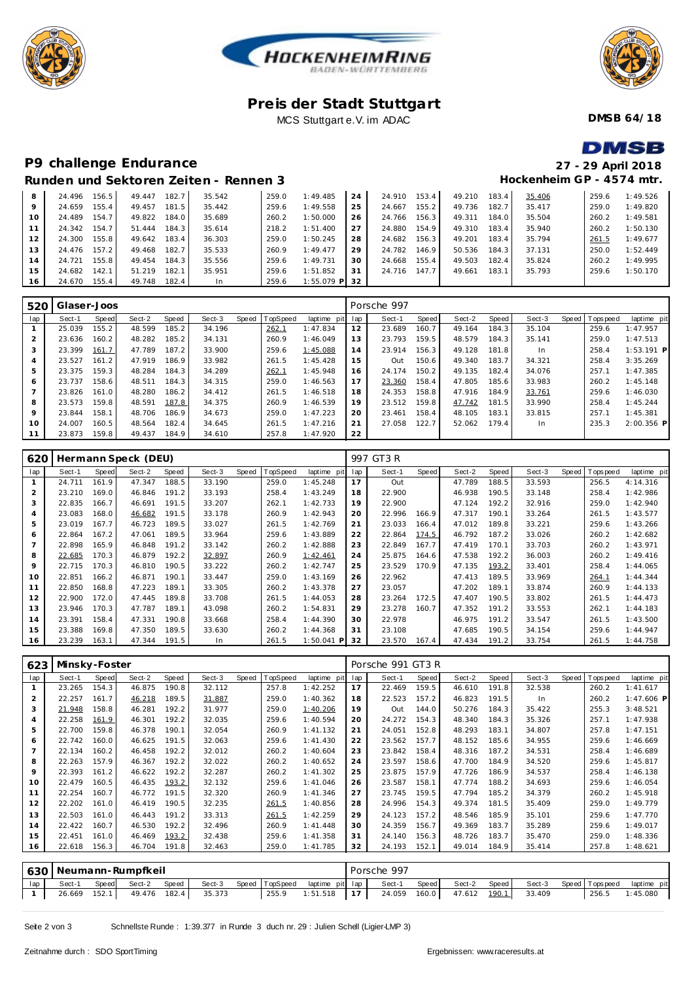



## **Pre is der Stadt Stuttgart** MCS Stuttgart e.V. im ADAC



**DMSB 64/18**

**DMSB** 

# **P9 challenge Endurance 27 - 29 April 2018**

#### **Hockenheim GP - 4574 mtr. Runden und Sektoren Zeiten - Rennen 3** 24.496 156.5 49.447 182.7 35.542 259.0 1:49.485 24.659 155.4 24.489 154.7 49.822 184.0 35.689 260.2 1:50.000 24.342 154.7 51.444 184.3 35.614 218.2 1:51.400 24.300 155.8 49.642 183.4 36.303 259.0 1:50.245 24.476 157.2 49.468 182.7 35.533 260.9 1:49.477 14 24.721 155.8 49.454 184.3 35.556 24.682 142.1 51.219 182.1 35.951 259.6 1:51.852 24.670 155.4 49.748 182.4 In 259.6 1:55.079 **P** 24 24.910 153.4 49.210 183.4 35.406 259.6 1:49.526<br>25 24.667 155.2 49.736 182.7 35.417 259.0 1:49.820 25 24.667 155.2 49.736 182.7 35.417<br>26 24.766 156.3 49.311 184.0 35.504 24.766 156.3 49.311 184.0 35.504 260.2 1:49.581 27 24.880 154.9 49.310 183.4 35.940 260.2 1:50.130<br>28 24.682 156.3 49.201 183.4 35.794 2<u>61.5</u> 1:49.677 24.682 156.3 49.201 183.4 35.794 261.5 1:49.677 24.3 50.536 184.3 37.131 24.668 155.4 49.503 182.4 35.824 260.2 1:49.995 24.716 147.7 49.661 183.1 35.793 259.6 1:50.170

| 520 | Glaser-Joos |       |        |       |        |       |          |                 |    | Porsche 997 |       |        |       |        |                 |              |
|-----|-------------|-------|--------|-------|--------|-------|----------|-----------------|----|-------------|-------|--------|-------|--------|-----------------|--------------|
| lap | Sect-1      | Speed | Sect-2 | Speed | Sect-3 | Speed | TopSpeed | laptime pit lap |    | Sect-1      | Speed | Sect-2 | Speed | Sect-3 | Speed Tops peed | laptime pit  |
|     | 25.039      | 155.2 | 48.599 | 185.2 | 34.196 |       | 262.1    | 1:47.834        | 12 | 23.689      | 160.7 | 49.164 | 184.3 | 35.104 | 259.6           | 1:47.957     |
|     | 23.636      | 160.2 | 48.282 | 185.2 | 34.131 |       | 260.9    | 1:46.049        | 13 | 23.793      | 159.5 | 48.579 | 184.3 | 35.141 | 259.0           | 1:47.513     |
| 3   | 23.399      | 161.7 | 47.789 | 187.2 | 33.900 |       | 259.6    | 1:45.088        | 14 | 23.914      | 156.3 | 49.128 | 181.8 | In.    | 258.4           | $1:53.191$ P |
| 4   | 23.527      | 161.2 | 47.919 | 186.9 | 33.982 |       | 261.5    | 1:45.428        | 15 | Out         | 150.6 | 49.340 | 183.7 | 34.321 | 258.4           | 3:35.269     |
| 5   | 23.375      | 159.3 | 48.284 | 184.3 | 34.289 |       | 262.1    | 1:45.948        | 16 | 24.174      | 150.2 | 49.135 | 182.4 | 34.076 | 257.1           | 1:47.385     |
| 6   | 23.737      | 158.6 | 48.511 | 184.3 | 34.315 |       | 259.0    | 1:46.563        | 17 | 23.360      | 158.4 | 47.805 | 185.6 | 33.983 | 260.2           | 1:45.148     |
|     | 23.826      | 161.0 | 48.280 | 186.2 | 34.412 |       | 261.5    | 1:46.518        | 18 | 24.353      | 158.8 | 47.916 | 184.9 | 33.761 | 259.6           | 1:46.030     |
| 8   | 23.573      | 159.8 | 48.591 | 187.8 | 34.375 |       | 260.9    | 1:46.539        | 19 | 23.512      | 159.8 | 47.742 | 181.5 | 33.990 | 258.4           | 1:45.244     |
| 9   | 23.844      | 158.1 | 48.706 | 186.9 | 34.673 |       | 259.0    | 1:47.223        | 20 | 23.461      | 158.4 | 48.105 | 183.1 | 33.815 | 257.1           | 1:45.381     |
| 10  | 24.007      | 160.5 | 48.564 | 182.4 | 34.645 |       | 261.5    | 1:47.216        | 21 | 27.058      | 122.7 | 52.062 | 179.4 | In.    | 235.3           | $2:00.356$ P |
|     | 23.873      | 159.8 | 49.437 | 184.9 | 34.610 |       | 257.8    | 1:47.920        | 22 |             |       |        |       |        |                 |              |

| 620 |        |       | Hermann Speck (DEU) |       |        |       |          |              |     | 997 GT3 R |       |        |       |        |       |             |             |
|-----|--------|-------|---------------------|-------|--------|-------|----------|--------------|-----|-----------|-------|--------|-------|--------|-------|-------------|-------------|
| lap | Sect-1 | Speed | Sect-2              | Speed | Sect-3 | Speed | TopSpeed | laptime pit  | lap | Sect-1    | Speed | Sect-2 | Speed | Sect-3 | Speed | T ops pee d | laptime pit |
|     | 24.711 | 161.9 | 47.347              | 188.5 | 33.190 |       | 259.0    | 1:45.248     | 17  | Out       |       | 47.789 | 188.5 | 33.593 |       | 256.5       | 4:14.316    |
|     | 23.210 | 169.0 | 46.846              | 191.2 | 33.193 |       | 258.4    | 1:43.249     | 18  | 22.900    |       | 46.938 | 190.5 | 33.148 |       | 258.4       | 1:42.986    |
|     | 22.835 | 166.7 | 46.691              | 191.5 | 33.207 |       | 262.1    | 1:42.733     | 19  | 22.900    |       | 47.124 | 192.2 | 32.916 |       | 259.0       | 1:42.940    |
|     | 23.083 | 168.0 | 46.682              | 191.5 | 33.178 |       | 260.9    | 1:42.943     | 20  | 22.996    | 166.9 | 47.317 | 190.1 | 33.264 |       | 261.5       | 1:43.577    |
| 5   | 23.019 | 167.7 | 46.723              | 189.5 | 33.027 |       | 261.5    | 1:42.769     | 21  | 23.033    | 166.4 | 47.012 | 189.8 | 33.221 |       | 259.6       | 1:43.266    |
| 6   | 22.864 | 167.2 | 47.061              | 189.5 | 33.964 |       | 259.6    | 1:43.889     | 22  | 22.864    | 174.5 | 46.792 | 187.2 | 33.026 |       | 260.2       | 1:42.682    |
|     | 22.898 | 165.9 | 46.848              | 191.2 | 33.142 |       | 260.2    | 1:42.888     | 23  | 22.849    | 167.7 | 47.419 | 170.1 | 33.703 |       | 260.2       | 1:43.971    |
| 8   | 22.685 | 170.3 | 46.879              | 192.2 | 32.897 |       | 260.9    | 1:42.461     | 24  | 25.875    | 164.6 | 47.538 | 192.2 | 36.003 |       | 260.2       | 1:49.416    |
| 9   | 22.715 | 170.3 | 46.810              | 190.5 | 33.222 |       | 260.2    | 1:42.747     | 25  | 23.529    | 170.9 | 47.135 | 193.2 | 33.401 |       | 258.4       | 1:44.065    |
| 10  | 22.851 | 166.2 | 46.871              | 190.1 | 33.447 |       | 259.0    | 1:43.169     | 26  | 22.962    |       | 47.413 | 189.5 | 33.969 |       | 264.1       | 1:44.344    |
| 11  | 22.850 | 168.8 | 47.223              | 189.1 | 33.305 |       | 260.2    | 1:43.378     | 27  | 23.057    |       | 47.202 | 189.1 | 33.874 |       | 260.9       | 1:44.133    |
| 12  | 22.900 | 172.0 | 47.445              | 189.8 | 33.708 |       | 261.5    | 1:44.053     | 28  | 23.264    | 172.5 | 47.407 | 190.5 | 33.802 |       | 261.5       | 1:44.473    |
| 13  | 23.946 | 170.3 | 47.787              | 189.1 | 43.098 |       | 260.2    | 1:54.831     | 29  | 23.278    | 160.7 | 47.352 | 191.2 | 33.553 |       | 262.1       | 1:44.183    |
| 14  | 23.391 | 158.4 | 47.331              | 190.8 | 33.668 |       | 258.4    | 1:44.390     | 30  | 22.978    |       | 46.975 | 191.2 | 33.547 |       | 261.5       | 1:43.500    |
| 15  | 23.388 | 169.8 | 47.350              | 189.5 | 33.630 |       | 260.2    | 1:44.368     | 31  | 23.108    |       | 47.685 | 190.5 | 34.154 |       | 259.6       | 1:44.947    |
| 16  | 23.239 | 163.1 | 47.344              | 191.5 | In.    |       | 261.5    | $1:50.041$ P | 32  | 23.570    | 167.4 | 47.434 | 191.2 | 33.754 |       | 261.5       | 1:44.758    |

| 623            | Minsky-Foster |       |        |       |        |       |          |             |     | Porsche 991 GT3 R |       |        |       |        |       |                 |              |
|----------------|---------------|-------|--------|-------|--------|-------|----------|-------------|-----|-------------------|-------|--------|-------|--------|-------|-----------------|--------------|
| lap            | Sect-1        | Speed | Sect-2 | Speed | Sect-3 | Speed | TopSpeed | laptime pit | lap | Sect-1            | Speed | Sect-2 | Speed | Sect-3 | Speed | <b>Topspeed</b> | laptime pit  |
|                | 23.265        | 154.3 | 46.875 | 190.8 | 32.112 |       | 257.8    | 1:42.252    | 17  | 22.469            | 159.5 | 46.610 | 191.8 | 32.538 |       | 260.2           | 1:41.617     |
| $\overline{2}$ | 22.257        | 161.7 | 46.218 | 189.5 | 31.887 |       | 259.0    | 1:40.362    | 18  | 22.523            | 157.2 | 46.823 | 191.5 | In     |       | 260.2           | $1:47.606$ P |
| 3              | 21.948        | 158.8 | 46.281 | 192.2 | 31.977 |       | 259.0    | 1:40.206    | 19  | Out               | 144.0 | 50.276 | 184.3 | 35.422 |       | 255.3           | 3:48.521     |
| 4              | 22.258        | 161.9 | 46.301 | 192.2 | 32.035 |       | 259.6    | 1:40.594    | 20  | 24.272            | 154.3 | 48.340 | 184.3 | 35.326 |       | 257.1           | 1:47.938     |
| 5              | 22.700        | 159.8 | 46.378 | 190.1 | 32.054 |       | 260.9    | 1:41.132    | 21  | 24.051            | 152.8 | 48.293 | 183.1 | 34.807 |       | 257.8           | 1:47.151     |
| 6              | 22.742        | 160.0 | 46.625 | 191.5 | 32.063 |       | 259.6    | 1: 41.430   | 22  | 23.562            | 157.7 | 48.152 | 185.6 | 34.955 |       | 259.6           | 1:46.669     |
| 7              | 22.134        | 160.2 | 46.458 | 192.2 | 32.012 |       | 260.2    | 1:40.604    | 23  | 23.842            | 158.4 | 48.316 | 187.2 | 34.531 |       | 258.4           | 1:46.689     |
| 8              | 22.263        | 157.9 | 46.367 | 192.2 | 32.022 |       | 260.2    | 1:40.652    | 24  | 23.597            | 158.6 | 47.700 | 184.9 | 34.520 |       | 259.6           | 1:45.817     |
| 9              | 22.393        | 161.2 | 46.622 | 192.2 | 32.287 |       | 260.2    | 1:41.302    | 25  | 23.875            | 157.9 | 47.726 | 186.9 | 34.537 |       | 258.4           | 1:46.138     |
| 10             | 22.479        | 160.5 | 46.435 | 193.2 | 32.132 |       | 259.6    | 1:41.046    | 26  | 23.587            | 158.1 | 47.774 | 188.2 | 34.693 |       | 259.6           | 1:46.054     |
| 11             | 22.254        | 160.7 | 46.772 | 191.5 | 32.320 |       | 260.9    | 1:41.346    | 27  | 23.745            | 159.5 | 47.794 | 185.2 | 34.379 |       | 260.2           | 1:45.918     |
| 12             | 22.202        | 161.0 | 46.419 | 190.5 | 32.235 |       | 261.5    | 1:40.856    | 28  | 24.996            | 154.3 | 49.374 | 181.5 | 35.409 |       | 259.0           | 1:49.779     |
| 13             | 22.503        | 161.0 | 46.443 | 191.2 | 33.313 |       | 261.5    | 1:42.259    | 29  | 24.123            | 157.2 | 48.546 | 185.9 | 35.101 |       | 259.6           | 1:47.770     |
| 14             | 22.422        | 160.7 | 46.530 | 192.2 | 32.496 |       | 260.9    | 1:41.448    | 30  | 24.359            | 156.7 | 49.369 | 183.7 | 35.289 |       | 259.6           | 1:49.017     |
| 15             | 22.451        | 161.0 | 46.469 | 193.2 | 32.438 |       | 259.6    | 1:41.358    | 31  | 24.140            | 156.3 | 48.726 | 183.7 | 35.470 |       | 259.0           | 1:48.336     |
| 16             | 22.618        | 156.3 | 46.704 | 191.8 | 32.463 |       | 259.0    | 1:41.785    | 32  | 24.193            | 152.1 | 49.014 | 184.9 | 35.414 |       | 257.8           | 1:48.621     |
|                |               |       |        |       |        |       |          |             |     |                   |       |        |       |        |       |                 |              |

|    | 630 Neumann-Rumpfkeil |                           |                                  |  |  | Porsche 997 |  |  |       |                                                                                                         |
|----|-----------------------|---------------------------|----------------------------------|--|--|-------------|--|--|-------|---------------------------------------------------------------------------------------------------------|
| ap |                       | Sect-1 Speed Sect-2 Speed |                                  |  |  |             |  |  |       | Sect-3 Speed TopSpeed laptime pit lap   Sect-1 Speed   Sect-2 Speed   Sect-3 Speed Topspeed laptime pit |
|    |                       |                           | 26.669 152.1 49.476 182.4 35.373 |  |  |             |  |  | 256.5 | 1:45.080                                                                                                |